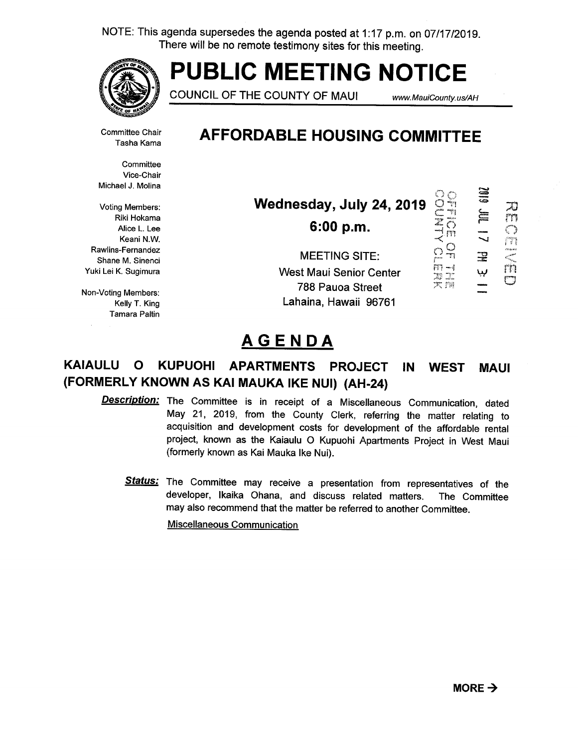NOTE: This agenda supersedes the agenda posted at 1:17 p.m. on 07/17/2019. There will be no remote testimony sites for this meeting.



# PUBLIC MEETING NOTICE

COUNCIL OF THE COUNTY OF MAUI www.MauiCounty. us/AH

Committee Chair Tasha Kama

## AFFORDABLE HOUSING COMMITTEE

**Committee** Vice-Chair Michael J. Molina

Voting Members: Riki Hokama Alice L. Lee Keani N.W. Rawlins-Fernandez Shane M. Sinenci Yuki Lei K. Sugimura

Non-Voting Members: Kelly T. King Tamara Paltin

| Wednesday, July 24, 2019<br>6:00 p.m. |      | =<br>=<br>늘 |  |
|---------------------------------------|------|-------------|--|
| <b>MEETING SITE:</b>                  |      | 3           |  |
| West Maui Senior Center               |      | لببا        |  |
| 788 Pauoa Street                      | 大 j瓣 |             |  |
| Lahaina, Hawaii 96761                 |      |             |  |

## AGENDA

## KAIAULU 0 KUPUOHI APARTMENTS PROJECT IN WEST MAUI (FORMERLY KNOWN AS KAI MAUKA IKE NUI) (AH-24)

- **Description:** The Committee is in receipt of a Miscellaneous Communication, dated May 21, 2019, from the County Clerk, referring the matter relating to acquisition and development costs for development of the affordable rental project, known as the Kaiaulu 0 Kupuohi Apartments Project in West Maui (formerly known as Kai Mauka Ike Nui).
	- Status: The Committee may receive a presentation from representatives of the developer, Ikaika Ohana, and discuss related matters. The Committee may also recommend that the matter be referred to another Committee.

Miscellaneous Communication